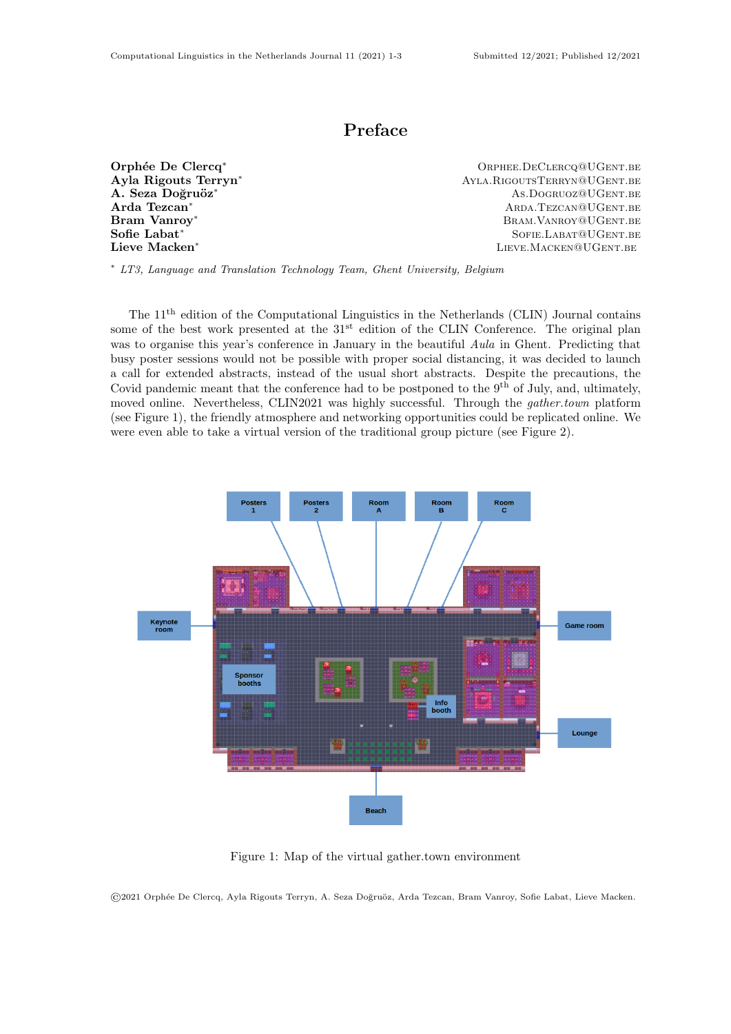## Preface

Orphée De Clercq<sup>∗</sup> and Corphee.DeClercq@UGent.be<br>
Ayla Rigouts Terryn<sup>∗</sup> and Corpus Ayla Rigouts Terryn<sup>∗</sup> and Ayla Rigouts Terryn<sup>∗</sup> Ayla Rigouts Terryn<sup>∗</sup> Ayla.RigoutsTerryn@UGent.be A. Seza Doğruöz<sup>∗</sup> As.Dogruoz<sup>∗</sup> As.Dogruoz<sup>@UGent.be Arda Tezcan<sup>\*</sup></sup> Arda Tezcan<sup>∗</sup> Arda Tezcan<sup>∗</sup> Arda Tezcan<sup>∗</sup> Arda Tezcan⊕UGent.be<br>Bram Vanrov<sup>\*</sup> BRAM. VANROY<sup>@</sup>UGENT.BE Sofie Labat<sup>∗</sup> Sofie Labat<sup>∗</sup> Sofie Labat<sup>∗</sup> Sofie Labat<sup>∗</sup> Sofie Labat<sup>∗</sup> Sofie Labat<sup>∗</sup> Lieve Macken<sup>∗</sup> Lieve Macken<sup>∗</sup> Lieve Macken<sup>∗</sup>

<sup>∗</sup> LT3, Language and Translation Technology Team, Ghent University, Belgium

The 11<sup>th</sup> edition of the Computational Linguistics in the Netherlands (CLIN) Journal contains some of the best work presented at the  $31<sup>st</sup>$  edition of the CLIN Conference. The original plan was to organise this year's conference in January in the beautiful Aula in Ghent. Predicting that busy poster sessions would not be possible with proper social distancing, it was decided to launch a call for extended abstracts, instead of the usual short abstracts. Despite the precautions, the Covid pandemic meant that the conference had to be postponed to the  $9<sup>th</sup>$  of July, and, ultimately, moved online. Nevertheless, CLIN2021 was highly successful. Through the *gather.town* platform (see Figure [1\)](#page-0-0), the friendly atmosphere and networking opportunities could be replicated online. We were even able to take a virtual version of the traditional group picture (see Figure [2\)](#page-1-0).



<span id="page-0-0"></span>Figure 1: Map of the virtual gather.town environment

©2021 Orph´ee De Clercq, Ayla Rigouts Terryn, A. Seza Do˘gru¨oz, Arda Tezcan, Bram Vanroy, Sofie Labat, Lieve Macken.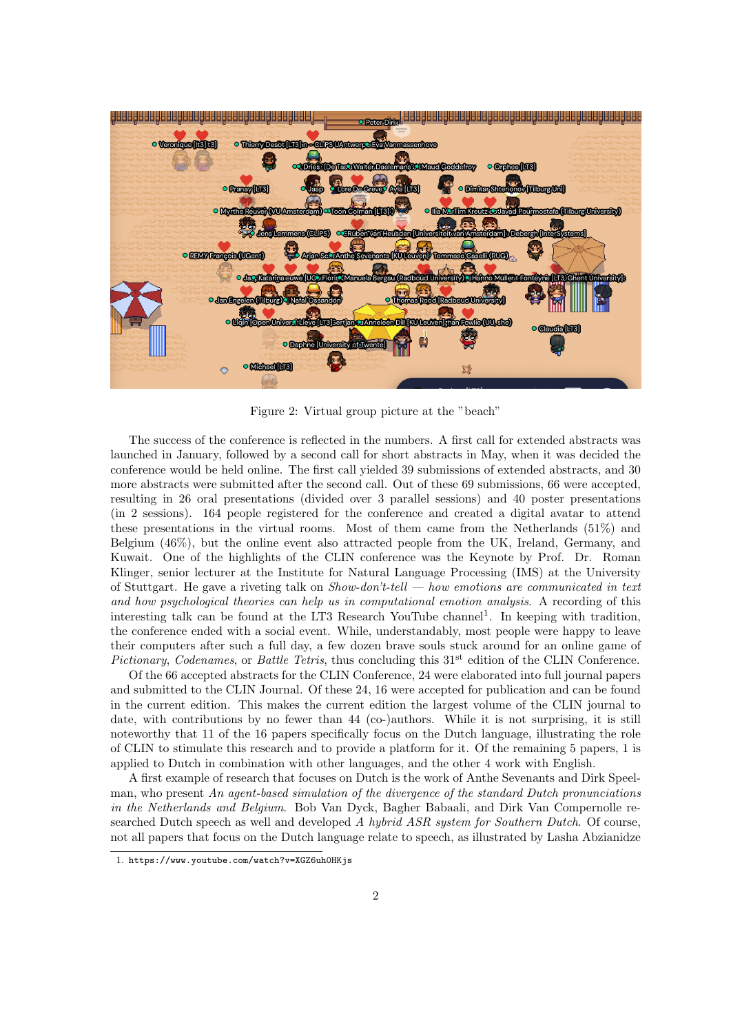

<span id="page-1-0"></span>Figure 2: Virtual group picture at the "beach"

The success of the conference is reflected in the numbers. A first call for extended abstracts was launched in January, followed by a second call for short abstracts in May, when it was decided the conference would be held online. The first call yielded 39 submissions of extended abstracts, and 30 more abstracts were submitted after the second call. Out of these 69 submissions, 66 were accepted, resulting in 26 oral presentations (divided over 3 parallel sessions) and 40 poster presentations (in 2 sessions). 164 people registered for the conference and created a digital avatar to attend these presentations in the virtual rooms. Most of them came from the Netherlands (51%) and Belgium (46%), but the online event also attracted people from the UK, Ireland, Germany, and Kuwait. One of the highlights of the CLIN conference was the Keynote by Prof. Dr. Roman Klinger, senior lecturer at the Institute for Natural Language Processing (IMS) at the University of Stuttgart. He gave a riveting talk on  $Show-don't-tell$  — how emotions are communicated in text and how psychological theories can help us in computational emotion analysis. A recording of this interesting talk can be found at the LT3 Research YouTube channel<sup>[1](#page-1-1)</sup>. In keeping with tradition, the conference ended with a social event. While, understandably, most people were happy to leave their computers after such a full day, a few dozen brave souls stuck around for an online game of Pictionary, Codenames, or Battle Tetris, thus concluding this  $31<sup>st</sup>$  edition of the CLIN Conference.

Of the 66 accepted abstracts for the CLIN Conference, 24 were elaborated into full journal papers and submitted to the CLIN Journal. Of these 24, 16 were accepted for publication and can be found in the current edition. This makes the current edition the largest volume of the CLIN journal to date, with contributions by no fewer than 44 (co-)authors. While it is not surprising, it is still noteworthy that 11 of the 16 papers specifically focus on the Dutch language, illustrating the role of CLIN to stimulate this research and to provide a platform for it. Of the remaining 5 papers, 1 is applied to Dutch in combination with other languages, and the other 4 work with English.

A first example of research that focuses on Dutch is the work of Anthe Sevenants and Dirk Speelman, who present An agent-based simulation of the divergence of the standard Dutch pronunciations in the Netherlands and Belgium. Bob Van Dyck, Bagher Babaali, and Dirk Van Compernolle researched Dutch speech as well and developed A hybrid ASR system for Southern Dutch. Of course, not all papers that focus on the Dutch language relate to speech, as illustrated by Lasha Abzianidze

<span id="page-1-1"></span><sup>1.</sup> <https://www.youtube.com/watch?v=XGZ6uh0HKjs>